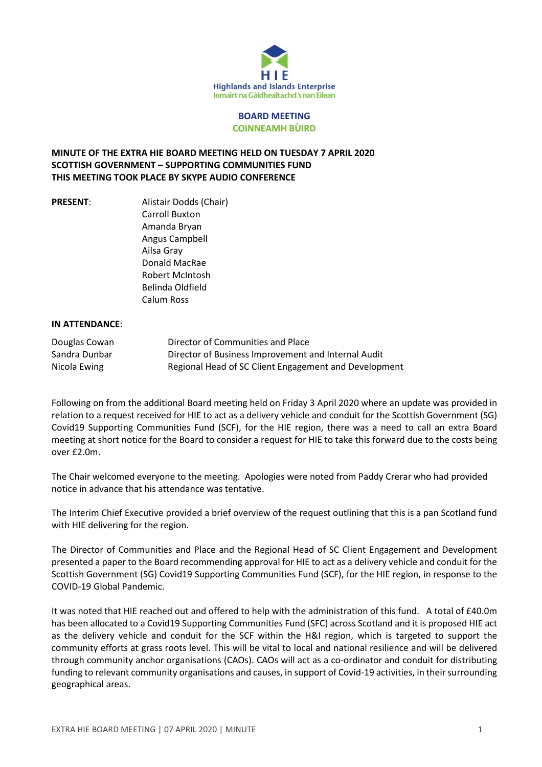

## **BOARD MEETING COINNEAMH BÙIRD**

## **MINUTE OF THE EXTRA HIE BOARD MEETING HELD ON TUESDAY 7 APRIL 2020 SCOTTISH GOVERNMENT – SUPPORTING COMMUNITIES FUND THIS MEETING TOOK PLACE BY SKYPE AUDIO CONFERENCE**

**PRESENT:** Alistair Dodds (Chair) Carroll Buxton Amanda Bryan Angus Campbell Ailsa Gray Donald MacRae Robert McIntosh Belinda Oldfield Calum Ross

## **IN ATTENDANCE**:

| Douglas Cowan | Director of Communities and Place                     |
|---------------|-------------------------------------------------------|
| Sandra Dunbar | Director of Business Improvement and Internal Audit   |
| Nicola Ewing  | Regional Head of SC Client Engagement and Development |

Following on from the additional Board meeting held on Friday 3 April 2020 where an update was provided in relation to a request received for HIE to act as a delivery vehicle and conduit for the Scottish Government (SG) Covid19 Supporting Communities Fund (SCF), for the HIE region, there was a need to call an extra Board meeting at short notice for the Board to consider a request for HIE to take this forward due to the costs being over £2.0m.

The Chair welcomed everyone to the meeting. Apologies were noted from Paddy Crerar who had provided notice in advance that his attendance was tentative.

The Interim Chief Executive provided a brief overview of the request outlining that this is a pan Scotland fund with HIE delivering for the region.

The Director of Communities and Place and the Regional Head of SC Client Engagement and Development presented a paper to the Board recommending approval for HIE to act as a delivery vehicle and conduit for the Scottish Government (SG) Covid19 Supporting Communities Fund (SCF), for the HIE region, in response to the COVID-19 Global Pandemic.

It was noted that HIE reached out and offered to help with the administration of this fund. A total of £40.0m has been allocated to a Covid19 Supporting Communities Fund (SFC) across Scotland and it is proposed HIE act as the delivery vehicle and conduit for the SCF within the H&I region, which is targeted to support the community efforts at grass roots level. This will be vital to local and national resilience and will be delivered through community anchor organisations (CAOs). CAOs will act as a co-ordinator and conduit for distributing funding to relevant community organisations and causes, in support of Covid-19 activities, in their surrounding geographical areas.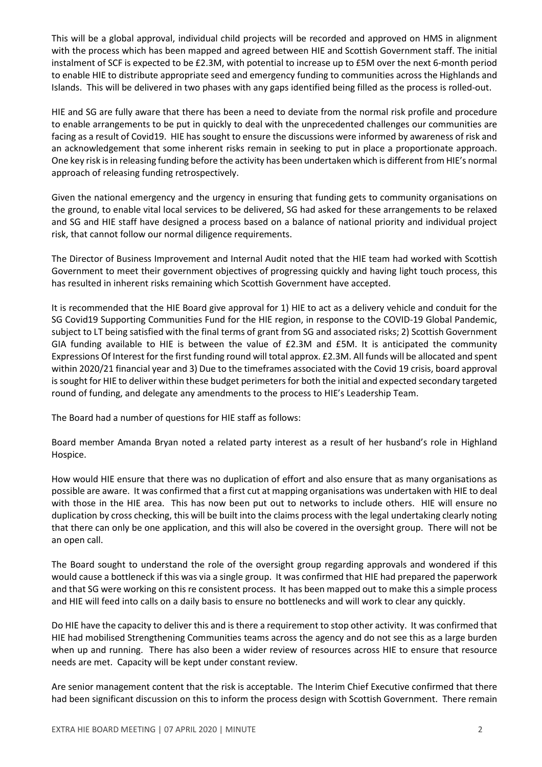This will be a global approval, individual child projects will be recorded and approved on HMS in alignment with the process which has been mapped and agreed between HIE and Scottish Government staff. The initial instalment of SCF is expected to be £2.3M, with potential to increase up to £5M over the next 6-month period to enable HIE to distribute appropriate seed and emergency funding to communities across the Highlands and Islands. This will be delivered in two phases with any gaps identified being filled as the process is rolled-out.

HIE and SG are fully aware that there has been a need to deviate from the normal risk profile and procedure to enable arrangements to be put in quickly to deal with the unprecedented challenges our communities are facing as a result of Covid19. HIE has sought to ensure the discussions were informed by awareness of risk and an acknowledgement that some inherent risks remain in seeking to put in place a proportionate approach. One key risk isin releasing funding before the activity has been undertaken which is different from HIE's normal approach of releasing funding retrospectively.

Given the national emergency and the urgency in ensuring that funding gets to community organisations on the ground, to enable vital local services to be delivered, SG had asked for these arrangements to be relaxed and SG and HIE staff have designed a process based on a balance of national priority and individual project risk, that cannot follow our normal diligence requirements.

The Director of Business Improvement and Internal Audit noted that the HIE team had worked with Scottish Government to meet their government objectives of progressing quickly and having light touch process, this has resulted in inherent risks remaining which Scottish Government have accepted.

It is recommended that the HIE Board give approval for 1) HIE to act as a delivery vehicle and conduit for the SG Covid19 Supporting Communities Fund for the HIE region, in response to the COVID-19 Global Pandemic, subject to LT being satisfied with the final terms of grant from SG and associated risks; 2) Scottish Government GIA funding available to HIE is between the value of £2.3M and £5M. It is anticipated the community Expressions Of Interest for the first funding round will total approx. £2.3M. All funds will be allocated and spent within 2020/21 financial year and 3) Due to the timeframes associated with the Covid 19 crisis, board approval is sought for HIE to deliver within these budget perimeters for both the initial and expected secondary targeted round of funding, and delegate any amendments to the process to HIE's Leadership Team.

The Board had a number of questions for HIE staff as follows:

Board member Amanda Bryan noted a related party interest as a result of her husband's role in Highland Hospice.

How would HIE ensure that there was no duplication of effort and also ensure that as many organisations as possible are aware. It was confirmed that a first cut at mapping organisations was undertaken with HIE to deal with those in the HIE area. This has now been put out to networks to include others. HIE will ensure no duplication by cross checking, this will be built into the claims process with the legal undertaking clearly noting that there can only be one application, and this will also be covered in the oversight group. There will not be an open call.

The Board sought to understand the role of the oversight group regarding approvals and wondered if this would cause a bottleneck if this was via a single group. It was confirmed that HIE had prepared the paperwork and that SG were working on this re consistent process. It has been mapped out to make this a simple process and HIE will feed into calls on a daily basis to ensure no bottlenecks and will work to clear any quickly.

Do HIE have the capacity to deliver this and is there a requirement to stop other activity. It was confirmed that HIE had mobilised Strengthening Communities teams across the agency and do not see this as a large burden when up and running. There has also been a wider review of resources across HIE to ensure that resource needs are met. Capacity will be kept under constant review.

Are senior management content that the risk is acceptable. The Interim Chief Executive confirmed that there had been significant discussion on this to inform the process design with Scottish Government. There remain